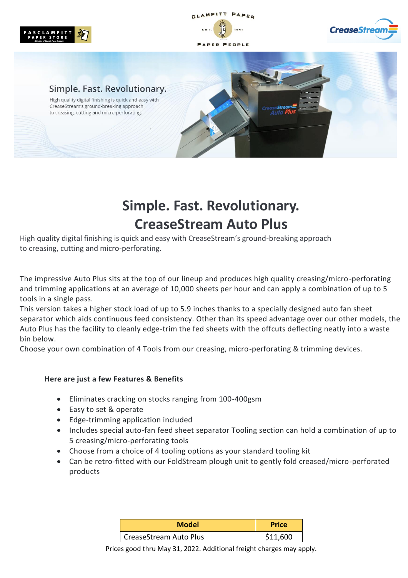

GLAMPITT PAPER

ER PEOPLE



#### Simple. Fast. Revolutionary.

High quality digital finishing is quick and easy with CreaseStream's ground-breaking approach to creasing, cutting and micro-perforating.

# **Simple. Fast. Revolutionary. CreaseStream Auto Plus**

High quality digital finishing is quick and easy with CreaseStream's ground-breaking approach to creasing, cutting and micro-perforating.

The impressive Auto Plus sits at the top of our lineup and produces high quality creasing/micro-perforating and trimming applications at an average of 10,000 sheets per hour and can apply a combination of up to 5 tools in a single pass.

This version takes a higher stock load of up to 5.9 inches thanks to a specially designed auto fan sheet separator which aids continuous feed consistency. Other than its speed advantage over our other models, the Auto Plus has the facility to cleanly edge-trim the fed sheets with the offcuts deflecting neatly into a waste bin below.

Choose your own combination of 4 Tools from our creasing, micro-perforating & trimming devices.

#### **Here are just a few Features & Benefits**

- Eliminates cracking on stocks ranging from 100-400gsm
- Easy to set & operate
- Edge-trimming application included
- Includes special auto-fan feed sheet separator Tooling section can hold a combination of up to 5 creasing/micro-perforating tools
- Choose from a choice of 4 tooling options as your standard tooling kit
- Can be retro-fitted with our FoldStream plough unit to gently fold creased/micro-perforated products

| <b>Model</b>           | <b>Price</b> |
|------------------------|--------------|
| CreaseStream Auto Plus | \$11,600     |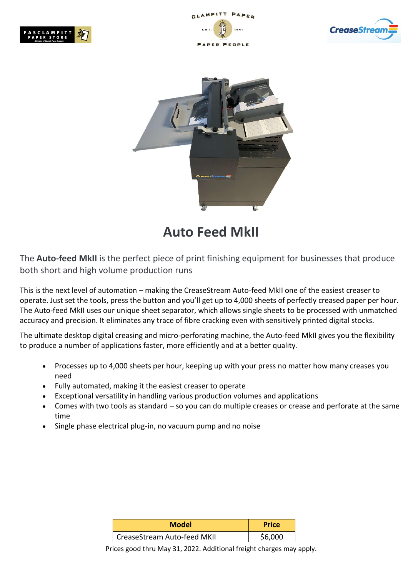







## **Auto Feed MkII**

The **Auto-feed MkII** is the perfect piece of print finishing equipment for businesses that produce both short and high volume production runs

This is the next level of automation – making the CreaseStream Auto-feed MkII one of the easiest creaser to operate. Just set the tools, press the button and you'll get up to 4,000 sheets of perfectly creased paper per hour. The Auto-feed MkII uses our unique sheet separator, which allows single sheets to be processed with unmatched accuracy and precision. It eliminates any trace of fibre cracking even with sensitively printed digital stocks.

The ultimate desktop digital creasing and micro-perforating machine, the Auto-feed MkII gives you the flexibility to produce a number of applications faster, more efficiently and at a better quality.

- Processes up to 4,000 sheets per hour, keeping up with your press no matter how many creases you need
- Fully automated, making it the easiest creaser to operate
- Exceptional versatility in handling various production volumes and applications
- Comes with two tools as standard  $-$  so you can do multiple creases or crease and perforate at the same time
- Single phase electrical plug-in, no vacuum pump and no noise

| <b>Model</b>                | <b>Price</b> |
|-----------------------------|--------------|
| CreaseStream Auto-feed MKII | \$6.000      |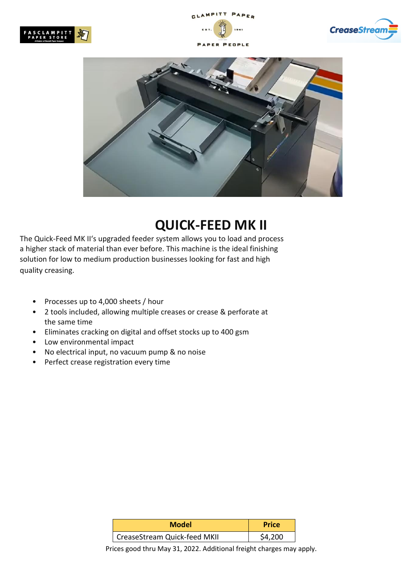







### **QUICK-FEED MK II**

The Quick-Feed MK II's upgraded feeder system allows you to load and process a higher stack of material than ever before. This machine is the ideal finishing solution for low to medium production businesses looking for fast and high quality creasing.

- Processes up to 4,000 sheets / hour
- 2 tools included, allowing multiple creases or crease & perforate at the same time
- Eliminates cracking on digital and offset stocks up to 400 gsm
- Low environmental impact
- No electrical input, no vacuum pump & no noise
- Perfect crease registration every time

| <b>Model</b>                 | <b>Price</b> |
|------------------------------|--------------|
| CreaseStream Quick-feed MKII | S4.200       |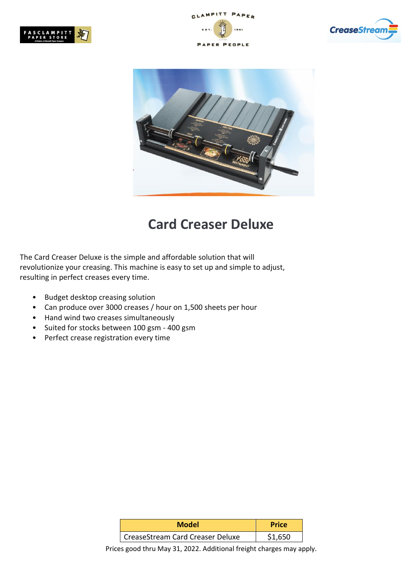





### **Card Creaser Deluxe**

The Card Creaser Deluxe is the simple and affordable solution that will revolutionize your creasing. This machine is easy to set up and simple to adjust, resulting in perfect creases every time.

- Budget desktop creasing solution
- Can produce over 3000 creases / hour on 1,500 sheets per hour
- Hand wind two creases simultaneously
- Suited for stocks between 100 gsm 400 gsm
- Perfect crease registration every time

| <b>Model</b>                     | <b>Price</b> |
|----------------------------------|--------------|
| CreaseStream Card Creaser Deluxe | \$1.650      |